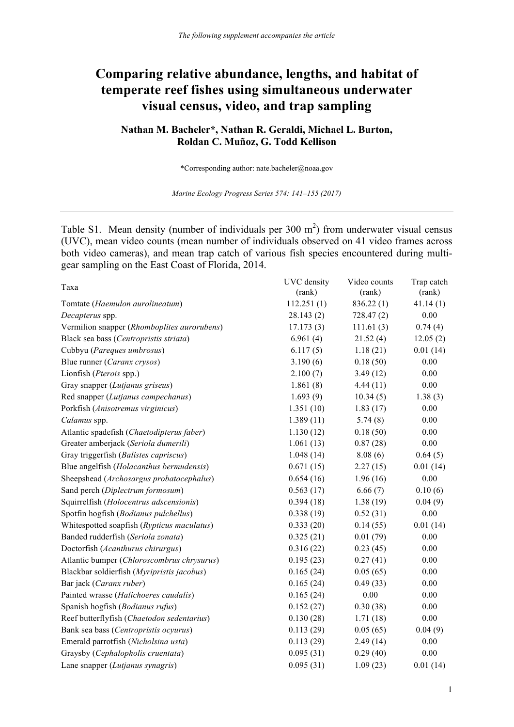## **Comparing relative abundance, lengths, and habitat of temperate reef fishes using simultaneous underwater visual census, video, and trap sampling**

## **Nathan M. Bacheler\*, Nathan R. Geraldi, Michael L. Burton, Roldan C. Muñoz, G. Todd Kellison**

\*Corresponding author: nate.bacheler@noaa.gov

*Marine Ecology Progress Series 574: 141–155 (2017)*

Table S1. Mean density (number of individuals per  $300 \text{ m}^2$ ) from underwater visual census (UVC), mean video counts (mean number of individuals observed on 41 video frames across both video cameras), and mean trap catch of various fish species encountered during multigear sampling on the East Coast of Florida, 2014.

| Taxa                                        | UVC density<br>(rank) | Video counts<br>(rank) | Trap catch<br>(rank) |
|---------------------------------------------|-----------------------|------------------------|----------------------|
| Tomtate (Haemulon aurolineatum)             | 112.251(1)            | 836.22(1)              | 41.14(1)             |
| Decapterus spp.                             | 28.143(2)             | 728.47(2)              | 0.00                 |
| Vermilion snapper (Rhomboplites aurorubens) | 17.173(3)             | 111.61(3)              | 0.74(4)              |
| Black sea bass (Centropristis striata)      | 6.961(4)              | 21.52(4)               | 12.05(2)             |
| Cubbyu (Pareques umbrosus)                  | 6.117(5)              | 1.18(21)               | 0.01(14)             |
| Blue runner (Caranx crysos)                 | 3.190(6)              | 0.18(50)               | 0.00                 |
| Lionfish (Pterois spp.)                     | 2.100(7)              | 3.49(12)               | 0.00                 |
| Gray snapper (Lutjanus griseus)             | 1.861(8)              | 4.44(11)               | $0.00\,$             |
| Red snapper (Lutjanus campechanus)          | 1.693(9)              | 10.34(5)               | 1.38(3)              |
| Porkfish (Anisotremus virginicus)           | 1.351(10)             | 1.83(17)               | 0.00                 |
| Calamus spp.                                | 1.389(11)             | 5.74(8)                | 0.00                 |
| Atlantic spadefish (Chaetodipterus faber)   | 1.130(12)             | 0.18(50)               | 0.00                 |
| Greater amberjack (Seriola dumerili)        | 1.061(13)             | 0.87(28)               | $0.00\,$             |
| Gray triggerfish (Balistes capriscus)       | 1.048(14)             | 8.08(6)                | 0.64(5)              |
| Blue angelfish (Holacanthus bermudensis)    | 0.671(15)             | 2.27(15)               | 0.01(14)             |
| Sheepshead (Archosargus probatocephalus)    | 0.654(16)             | 1.96(16)               | 0.00                 |
| Sand perch (Diplectrum formosum)            | 0.563(17)             | 6.66(7)                | 0.10(6)              |
| Squirrelfish (Holocentrus adscensionis)     | 0.394(18)             | 1.38(19)               | 0.04(9)              |
| Spotfin hogfish (Bodianus pulchellus)       | 0.338(19)             | 0.52(31)               | 0.00                 |
| Whitespotted soapfish (Rypticus maculatus)  | 0.333(20)             | 0.14(55)               | 0.01(14)             |
| Banded rudderfish (Seriola zonata)          | 0.325(21)             | 0.01(79)               | $0.00\,$             |
| Doctorfish (Acanthurus chirurgus)           | 0.316(22)             | 0.23(45)               | $0.00\,$             |
| Atlantic bumper (Chloroscombrus chrysurus)  | 0.195(23)             | 0.27(41)               | 0.00                 |
| Blackbar soldierfish (Myripristis jacobus)  | 0.165(24)             | 0.05(65)               | 0.00                 |
| Bar jack (Caranx ruber)                     | 0.165(24)             | 0.49(33)               | 0.00                 |
| Painted wrasse (Halichoeres caudalis)       | 0.165(24)             | 0.00                   | 0.00                 |
| Spanish hogfish (Bodianus rufus)            | 0.152(27)             | 0.30(38)               | 0.00                 |
| Reef butterflyfish (Chaetodon sedentarius)  | 0.130(28)             | 1.71(18)               | 0.00                 |
| Bank sea bass (Centropristis ocyurus)       | 0.113(29)             | 0.05(65)               | 0.04(9)              |
| Emerald parrotfish (Nicholsina usta)        | 0.113(29)             | 2.49(14)               | 0.00                 |
| Graysby (Cephalopholis cruentata)           | 0.095(31)             | 0.29(40)               | 0.00                 |
| Lane snapper (Lutjanus synagris)            | 0.095(31)             | 1.09(23)               | 0.01(14)             |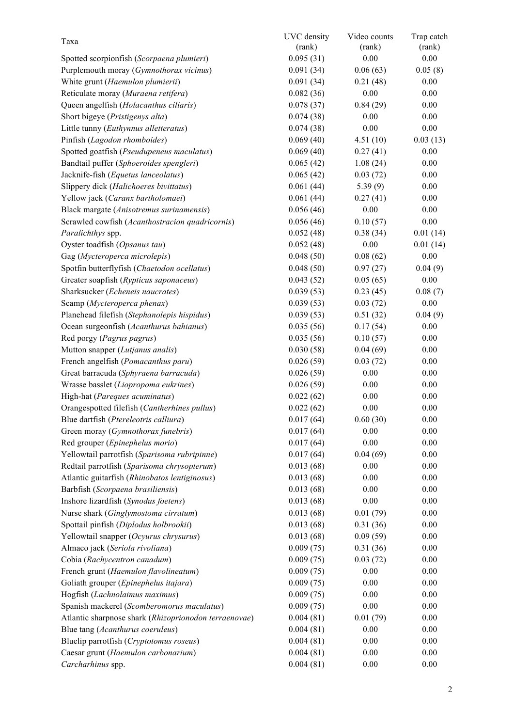| Taxa                                                  | UVC density | Video counts | Trap catch |
|-------------------------------------------------------|-------------|--------------|------------|
|                                                       | (rank)      | (rank)       | (rank)     |
| Spotted scorpionfish (Scorpaena plumieri)             | 0.095(31)   | 0.00         | 0.00       |
| Purplemouth moray (Gymnothorax vicinus)               | 0.091(34)   | 0.06(63)     | 0.05(8)    |
| White grunt (Haemulon plumierii)                      | 0.091(34)   | 0.21(48)     | 0.00       |
| Reticulate moray (Muraena retifera)                   | 0.082(36)   | 0.00         | 0.00       |
| Queen angelfish (Holacanthus ciliaris)                | 0.078(37)   | 0.84(29)     | 0.00       |
| Short bigeye (Pristigenys alta)                       | 0.074(38)   | 0.00         | 0.00       |
| Little tunny (Euthynnus alletteratus)                 | 0.074(38)   | 0.00         | 0.00       |
| Pinfish (Lagodon rhomboides)                          | 0.069(40)   | 4.51(10)     | 0.03(13)   |
| Spotted goatfish (Pseudupeneus maculatus)             | 0.069(40)   | 0.27(41)     | 0.00       |
| Bandtail puffer (Sphoeroides spengleri)               | 0.065(42)   | 1.08(24)     | 0.00       |
| Jacknife-fish (Equetus lanceolatus)                   | 0.065(42)   | 0.03(72)     | 0.00       |
| Slippery dick (Halichoeres bivittatus)                | 0.061(44)   | 5.39(9)      | 0.00       |
| Yellow jack (Caranx bartholomaei)                     | 0.061(44)   | 0.27(41)     | 0.00       |
| Black margate (Anisotremus surinamensis)              | 0.056(46)   | 0.00         | 0.00       |
| Scrawled cowfish (Acanthostracion quadricornis)       | 0.056(46)   | 0.10(57)     | 0.00       |
| Paralichthys spp.                                     | 0.052(48)   | 0.38(34)     | 0.01(14)   |
| Oyster toadfish (Opsanus tau)                         | 0.052(48)   | 0.00         | 0.01(14)   |
| Gag (Mycteroperca microlepis)                         | 0.048(50)   | 0.08(62)     | 0.00       |
| Spotfin butterflyfish (Chaetodon ocellatus)           | 0.048(50)   | 0.97(27)     | 0.04(9)    |
| Greater soapfish (Rypticus saponaceus)                | 0.043(52)   | 0.05(65)     | 0.00       |
| Sharksucker (Echeneis naucrates)                      | 0.039(53)   | 0.23(45)     | 0.08(7)    |
| Scamp (Mycteroperca phenax)                           | 0.039(53)   | 0.03(72)     | 0.00       |
| Planehead filefish (Stephanolepis hispidus)           | 0.039(53)   | 0.51(32)     | 0.04(9)    |
| Ocean surgeonfish (Acanthurus bahianus)               | 0.035(56)   | 0.17(54)     | 0.00       |
| Red porgy (Pagrus pagrus)                             | 0.035(56)   | 0.10(57)     | 0.00       |
| Mutton snapper (Lutjanus analis)                      | 0.030(58)   | 0.04(69)     | 0.00       |
| French angelfish (Pomacanthus paru)                   | 0.026(59)   | 0.03(72)     | 0.00       |
| Great barracuda (Sphyraena barracuda)                 | 0.026(59)   | 0.00         | 0.00       |
| Wrasse basslet (Liopropoma eukrines)                  | 0.026(59)   | 0.00         | 0.00       |
| High-hat (Pareques acuminatus)                        | 0.022(62)   | 0.00         | 0.00       |
| Orangespotted filefish (Cantherhines pullus)          | 0.022(62)   | 0.00         | 0.00       |
| Blue dartfish (Ptereleotris calliura)                 | 0.017(64)   | 0.60(30)     | 0.00       |
| Green moray (Gymnothorax funebris)                    | 0.017(64)   | 0.00         | 0.00       |
| Red grouper (Epinephelus morio)                       | 0.017(64)   | 0.00         | 0.00       |
| Yellowtail parrotfish (Sparisoma rubripinne)          | 0.017(64)   | 0.04(69)     | 0.00       |
| Redtail parrotfish (Sparisoma chrysopterum)           | 0.013(68)   | 0.00         | 0.00       |
| Atlantic guitarfish (Rhinobatos lentiginosus)         | 0.013(68)   | 0.00         | 0.00       |
| Barbfish (Scorpaena brasiliensis)                     | 0.013(68)   | 0.00         | 0.00       |
| Inshore lizardfish (Synodus foetens)                  | 0.013(68)   | 0.00         | 0.00       |
| Nurse shark (Ginglymostoma cirratum)                  | 0.013(68)   | 0.01(79)     | 0.00       |
| Spottail pinfish (Diplodus holbrookii)                | 0.013(68)   | 0.31(36)     | 0.00       |
| Yellowtail snapper (Ocyurus chrysurus)                | 0.013(68)   | 0.09(59)     | 0.00       |
| Almaco jack (Seriola rivoliana)                       | 0.009(75)   | 0.31(36)     | 0.00       |
| Cobia (Rachycentron canadum)                          | 0.009(75)   | 0.03(72)     | 0.00       |
| French grunt (Haemulon flavolineatum)                 | 0.009(75)   | 0.00         | 0.00       |
| Goliath grouper (Epinephelus itajara)                 | 0.009(75)   | 0.00         | 0.00       |
| Hogfish (Lachnolaimus maximus)                        | 0.009(75)   | 0.00         | 0.00       |
| Spanish mackerel (Scomberomorus maculatus)            | 0.009(75)   | 0.00         | 0.00       |
| Atlantic sharpnose shark (Rhizoprionodon terraenovae) | 0.004(81)   | 0.01(79)     | 0.00       |
| Blue tang (Acanthurus coeruleus)                      | 0.004(81)   | 0.00         | 0.00       |
| Bluelip parrotfish (Cryptotomus roseus)               | 0.004(81)   | 0.00         | 0.00       |
| Caesar grunt (Haemulon carbonarium)                   | 0.004(81)   | 0.00         | 0.00       |
| Carcharhinus spp.                                     | 0.004(81)   | 0.00         | 0.00       |
|                                                       |             |              |            |